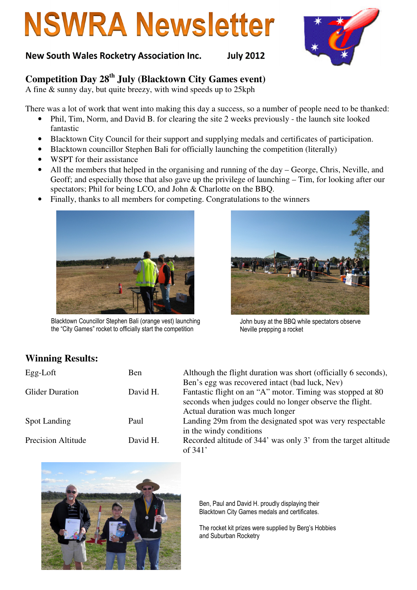# **NSWRA Newsletter**

#### New South Wales Rocketry Association Inc. July 2012

### **Competition Day 28th July (Blacktown City Games event)**

A fine  $\&$  sunny day, but quite breezy, with wind speeds up to 25kph

There was a lot of work that went into making this day a success, so a number of people need to be thanked:

- Phil, Tim, Norm, and David B. for clearing the site 2 weeks previously the launch site looked fantastic
- Blacktown City Council for their support and supplying medals and certificates of participation.
- Blacktown councillor Stephen Bali for officially launching the competition (literally)
- WSPT for their assistance
- All the members that helped in the organising and running of the day George, Chris, Neville, and Geoff; and especially those that also gave up the privilege of launching – Tim, for looking after our spectators; Phil for being LCO, and John & Charlotte on the BBQ.
- Finally, thanks to all members for competing. Congratulations to the winners



Blacktown Councillor Stephen Bali (orange vest) launching the "City Games" rocket to officially start the competition



John busy at the BBQ while spectators observe Neville prepping a rocket

#### **Winning Results:**

| Egg-Loft                  | <b>Ben</b> | Although the flight duration was short (officially 6 seconds),<br>Ben's egg was recovered intact (bad luck, Nev)                                         |
|---------------------------|------------|----------------------------------------------------------------------------------------------------------------------------------------------------------|
| <b>Glider Duration</b>    | David H.   | Fantastic flight on an "A" motor. Timing was stopped at 80<br>seconds when judges could no longer observe the flight.<br>Actual duration was much longer |
| Spot Landing              | Paul       | Landing 29m from the designated spot was very respectable<br>in the windy conditions                                                                     |
| <b>Precision Altitude</b> | David H.   | Recorded altitude of 344' was only 3' from the target altitude<br>of $341'$                                                                              |



Ben, Paul and David H. proudly displaying their Blacktown City Games medals and certificates.

The rocket kit prizes were supplied by Berg's Hobbies and Suburban Rocketry